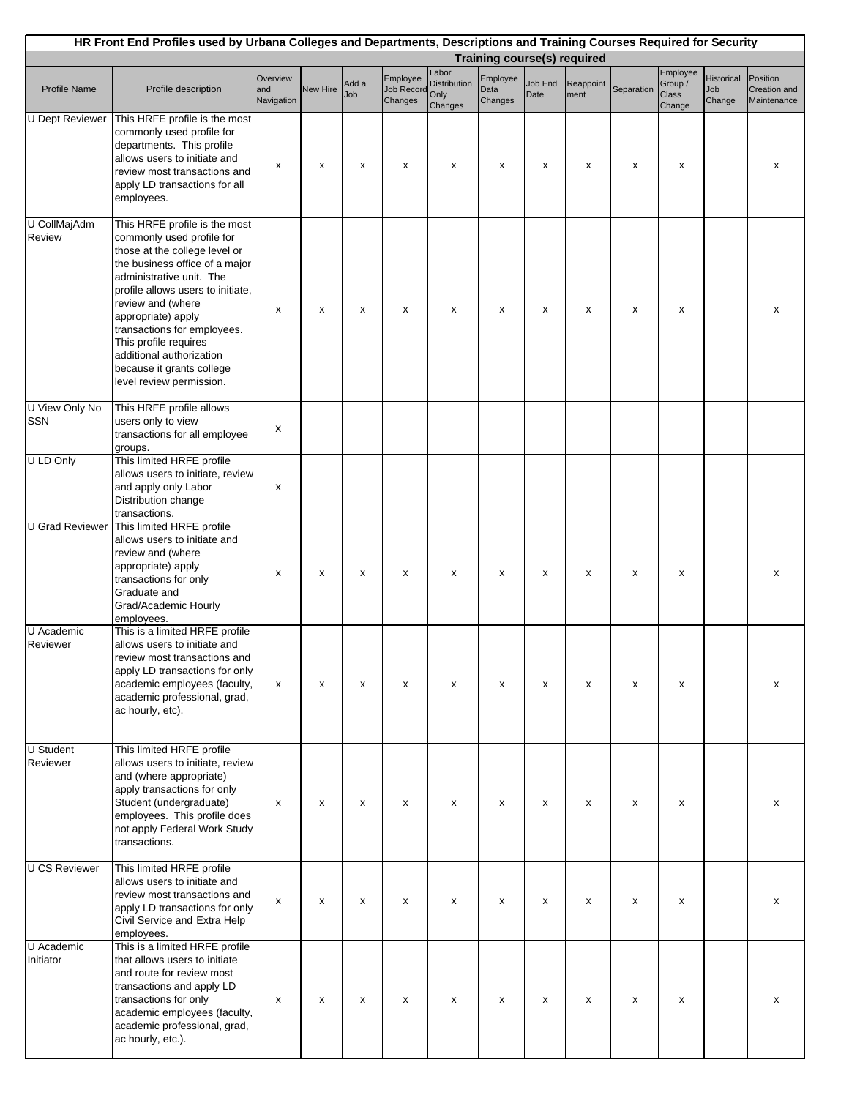| HR Front End Profiles used by Urbana Colleges and Departments, Descriptions and Training Courses Required for Security<br><b>Training course(s) required</b> |                                                                                                                                                                                                                                                                                                                                                                                        |                               |                 |              |                                   |                                                 |                             |                 |                   |            |                                               |                                    |                                         |
|--------------------------------------------------------------------------------------------------------------------------------------------------------------|----------------------------------------------------------------------------------------------------------------------------------------------------------------------------------------------------------------------------------------------------------------------------------------------------------------------------------------------------------------------------------------|-------------------------------|-----------------|--------------|-----------------------------------|-------------------------------------------------|-----------------------------|-----------------|-------------------|------------|-----------------------------------------------|------------------------------------|-----------------------------------------|
|                                                                                                                                                              |                                                                                                                                                                                                                                                                                                                                                                                        |                               |                 |              |                                   |                                                 |                             |                 |                   |            |                                               |                                    |                                         |
| <b>Profile Name</b>                                                                                                                                          | Profile description                                                                                                                                                                                                                                                                                                                                                                    | Overview<br>and<br>Navigation | <b>New Hire</b> | Add a<br>Job | Employee<br>Job Record<br>Changes | Labor<br><b>Distribution</b><br>Only<br>Changes | Employee<br>Data<br>Changes | Job End<br>Date | Reappoint<br>ment | Separation | Employee<br>Group /<br><b>Class</b><br>Change | <b>Historical</b><br>Job<br>Change | Position<br>Creation and<br>Maintenance |
| <b>U</b> Dept Reviewer                                                                                                                                       | This HRFE profile is the most<br>commonly used profile for<br>departments. This profile<br>allows users to initiate and<br>review most transactions and<br>apply LD transactions for all<br>employees.                                                                                                                                                                                 | x                             | x               | х            | x                                 | x                                               | x                           | x               | x                 | x          | x                                             |                                    | x                                       |
| U CollMajAdm<br>Review                                                                                                                                       | This HRFE profile is the most<br>commonly used profile for<br>those at the college level or<br>the business office of a major<br>administrative unit. The<br>profile allows users to initiate,<br>review and (where<br>appropriate) apply<br>transactions for employees.<br>This profile requires<br>additional authorization<br>because it grants college<br>level review permission. | x                             | x               | х            | x                                 | x                                               | x                           | x               | x                 | X          | x                                             |                                    | х                                       |
| U View Only No<br><b>SSN</b>                                                                                                                                 | This HRFE profile allows<br>users only to view<br>transactions for all employee<br>groups.                                                                                                                                                                                                                                                                                             | x                             |                 |              |                                   |                                                 |                             |                 |                   |            |                                               |                                    |                                         |
| U LD Only                                                                                                                                                    | This limited HRFE profile<br>allows users to initiate, review<br>and apply only Labor<br>Distribution change<br>transactions.                                                                                                                                                                                                                                                          | X                             |                 |              |                                   |                                                 |                             |                 |                   |            |                                               |                                    |                                         |
| <b>U</b> Grad Reviewer                                                                                                                                       | This limited HRFE profile<br>allows users to initiate and<br>review and (where<br>appropriate) apply<br>transactions for only<br>Graduate and<br>Grad/Academic Hourly<br>employees.                                                                                                                                                                                                    | х                             | x               | х            | x                                 | x                                               | x                           | x               | x                 | x          | x                                             |                                    | х                                       |
| U Academic<br>Reviewer                                                                                                                                       | This is a limited HRFE profile<br>allows users to initiate and<br>review most transactions and<br>apply LD transactions for only<br>academic employees (faculty,<br>academic professional, grad,<br>ac hourly, etc).                                                                                                                                                                   | x                             | x               | X            | x                                 | x                                               | x                           | x               | x                 | X          | x                                             |                                    | x                                       |
| U Student<br>Reviewer                                                                                                                                        | This limited HRFE profile<br>allows users to initiate, review<br>and (where appropriate)<br>apply transactions for only<br>Student (undergraduate)<br>employees. This profile does<br>not apply Federal Work Study<br>transactions.                                                                                                                                                    | x                             | x               | X            | x                                 | x                                               | x                           | x               | x                 | x          | x                                             |                                    | x                                       |
| <b>U CS Reviewer</b>                                                                                                                                         | This limited HRFE profile<br>allows users to initiate and<br>review most transactions and<br>apply LD transactions for only<br>Civil Service and Extra Help<br>employees.                                                                                                                                                                                                              | x                             | x               | X            | x                                 | x                                               | x                           | x               | x                 | X          | x                                             |                                    | x                                       |
| U Academic<br>Initiator                                                                                                                                      | This is a limited HRFE profile<br>that allows users to initiate<br>and route for review most<br>transactions and apply LD<br>transactions for only<br>academic employees (faculty,<br>academic professional, grad,<br>ac hourly, etc.).                                                                                                                                                | x                             | x               | X            | x                                 | x                                               | x                           | x               | x                 | X          | x                                             |                                    | x                                       |